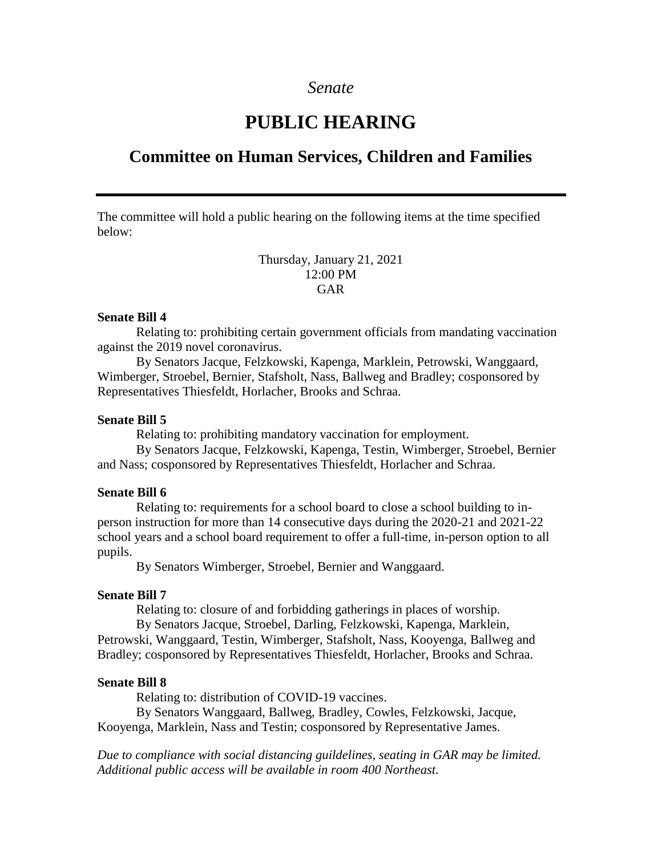## *Senate*

# **PUBLIC HEARING**

# **Committee on Human Services, Children and Families**

The committee will hold a public hearing on the following items at the time specified below:

> Thursday, January 21, 2021 12:00 PM GAR

#### **Senate Bill 4**

Relating to: prohibiting certain government officials from mandating vaccination against the 2019 novel coronavirus.

By Senators Jacque, Felzkowski, Kapenga, Marklein, Petrowski, Wanggaard, Wimberger, Stroebel, Bernier, Stafsholt, Nass, Ballweg and Bradley; cosponsored by Representatives Thiesfeldt, Horlacher, Brooks and Schraa.

#### **Senate Bill 5**

Relating to: prohibiting mandatory vaccination for employment.

By Senators Jacque, Felzkowski, Kapenga, Testin, Wimberger, Stroebel, Bernier and Nass; cosponsored by Representatives Thiesfeldt, Horlacher and Schraa.

#### **Senate Bill 6**

Relating to: requirements for a school board to close a school building to inperson instruction for more than 14 consecutive days during the 2020-21 and 2021-22 school years and a school board requirement to offer a full-time, in-person option to all pupils.

By Senators Wimberger, Stroebel, Bernier and Wanggaard.

### **Senate Bill 7**

Relating to: closure of and forbidding gatherings in places of worship.

By Senators Jacque, Stroebel, Darling, Felzkowski, Kapenga, Marklein, Petrowski, Wanggaard, Testin, Wimberger, Stafsholt, Nass, Kooyenga, Ballweg and Bradley; cosponsored by Representatives Thiesfeldt, Horlacher, Brooks and Schraa.

#### **Senate Bill 8**

Relating to: distribution of COVID-19 vaccines.

By Senators Wanggaard, Ballweg, Bradley, Cowles, Felzkowski, Jacque, Kooyenga, Marklein, Nass and Testin; cosponsored by Representative James.

*Due to compliance with social distancing guildelines, seating in GAR may be limited. Additional public access will be available in room 400 Northeast.*